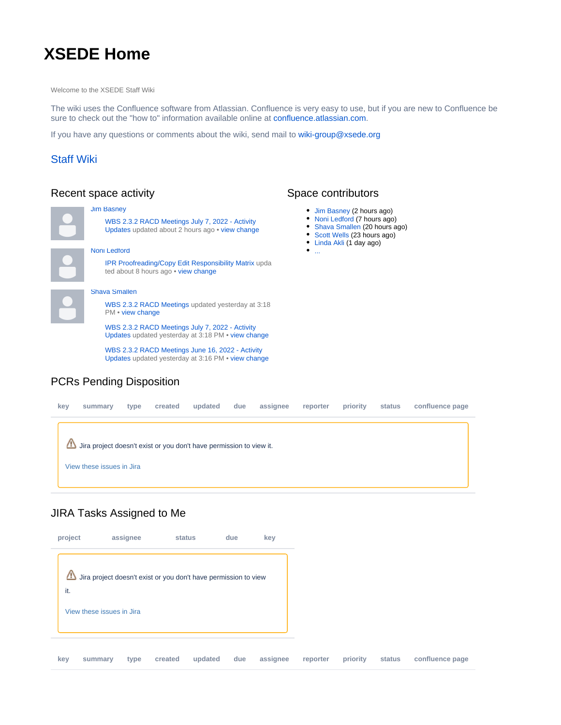# **XSEDE Home**

Welcome to the XSEDE Staff Wiki

The wiki uses the Confluence software from Atlassian. Confluence is very easy to use, but if you are new to Confluence be sure to check out the "how to" information available online at [confluence.atlassian.com.](https://confluence.atlassian.com)

If you have any questions or comments about the wiki, send mail to [wiki-group@xsede.org](mailto:wiki-group@xsede.org)

### [Staff Wiki](https://confluence.xsede.org/display/XT/XSEDE+Staff+Wiki)

### Recent space activity

| <b>Jim Basney</b>                                                                                     |
|-------------------------------------------------------------------------------------------------------|
| WBS 2.3.2 RACD Meetings July 7, 2022 - Activity<br>Updates updated about 2 hours ago • view change    |
| Noni Ledford                                                                                          |
| <b>IPR Proofreading/Copy Edit Responsibility Matrix upda</b><br>ted about 8 hours ago • view change   |
| <b>Shava Smallen</b>                                                                                  |
| WBS 2.3.2 RACD Meetings updated yesterday at 3:18<br>PM • view change                                 |
| WBS 2.3.2 RACD Meetings July 7, 2022 - Activity<br>Updates updated yesterday at 3:18 PM • view change |
|                                                                                                       |

[WBS 2.3.2 RACD Meetings June 16, 2022 - Activity](https://confluence.xsede.org/display/XT/WBS+2.3.2+RACD+Meetings+June+16%2C+2022+-+Activity+Updates)  [Updates](https://confluence.xsede.org/display/XT/WBS+2.3.2+RACD+Meetings+June+16%2C+2022+-+Activity+Updates) updated yesterday at 3:16 PM • [view change](https://confluence.xsede.org/pages/diffpagesbyversion.action?pageId=66879730&selectedPageVersions=12&selectedPageVersions=11)

## PCRs Pending Disposition

# **key summary type created updated due assignee reporter priority status confluence page** Jira project doesn't exist or you don't have permission to view it. [View these issues in Jira](https://jira.xsede.org/secure/IssueNavigator.jspa?reset=true&jqlQuery=project+%3D+%22Project+Change+Request%22+AND+resolution+%21%3D+%22PCR+Approved%22+AND+resolution+%21%3D+%22PCR+Rejected%22+AND+resolution+%21%3D+Withdrawn+AND+%22PCR%3A+Approvers%22+%3D+currentUser%28%29+OR+project+%3D+%22Project+Change+Request%22+AND+resolution+%21%3D+%22PCR+Approved%22+AND+resolution+%21%3D+%22PCR+Rejected%22+AND+resolution+%21%3D+Withdrawn+AND+assignee%3D+currentUser%28%29+&src=confmacro)

#### JIRA Tasks Assigned to Me



## Space contributors

- [Jim Basney](https://confluence.xsede.org/display/~jbasney) (2 hours ago)
- [Noni Ledford](https://confluence.xsede.org/display/~nledford) (7 hours ago)
- [Shava Smallen](https://confluence.xsede.org/display/~ssmallen) (20 hours ago)
- [Scott Wells](https://confluence.xsede.org/display/~swells) (23 hours ago)
- [Linda Akli](https://confluence.xsede.org/display/~lakli) (1 day ago)
- $\bullet$ ...